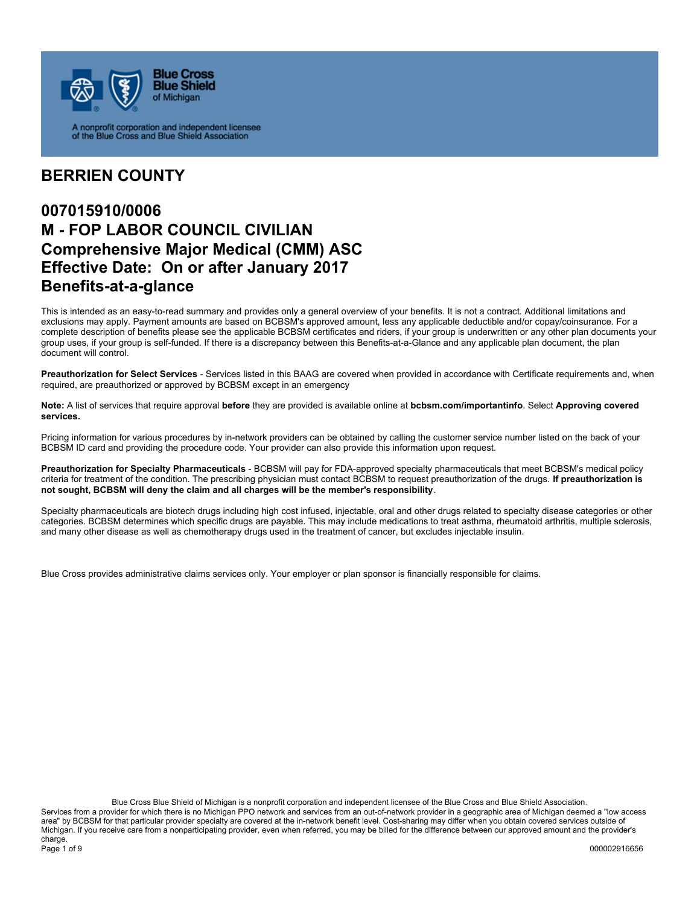

A nonprofit corporation and independent licensee<br>of the Blue Cross and Blue Shield Association

### **BERRIEN COUNTY**

## **007015910/0006 M - FOP LABOR COUNCIL CIVILIAN Comprehensive Major Medical (CMM) ASC Effective Date: On or after January 2017 Benefits-at-a-glance**

This is intended as an easy-to-read summary and provides only a general overview of your benefits. It is not a contract. Additional limitations and exclusions may apply. Payment amounts are based on BCBSM's approved amount, less any applicable deductible and/or copay/coinsurance. For a complete description of benefits please see the applicable BCBSM certificates and riders, if your group is underwritten or any other plan documents your group uses, if your group is self-funded. If there is a discrepancy between this Benefits-at-a-Glance and any applicable plan document, the plan document will control.

**Preauthorization for Select Services** - Services listed in this BAAG are covered when provided in accordance with Certificate requirements and, when required, are preauthorized or approved by BCBSM except in an emergency

**Note:** A list of services that require approval **before** they are provided is available online at **bcbsm.com/importantinfo**. Select **Approving covered services.**

Pricing information for various procedures by in-network providers can be obtained by calling the customer service number listed on the back of your BCBSM ID card and providing the procedure code. Your provider can also provide this information upon request.

**Preauthorization for Specialty Pharmaceuticals** - BCBSM will pay for FDA-approved specialty pharmaceuticals that meet BCBSM's medical policy criteria for treatment of the condition. The prescribing physician must contact BCBSM to request preauthorization of the drugs. **If preauthorization is not sought, BCBSM will deny the claim and all charges will be the member's responsibility**.

Specialty pharmaceuticals are biotech drugs including high cost infused, injectable, oral and other drugs related to specialty disease categories or other categories. BCBSM determines which specific drugs are payable. This may include medications to treat asthma, rheumatoid arthritis, multiple sclerosis, and many other disease as well as chemotherapy drugs used in the treatment of cancer, but excludes injectable insulin.

Blue Cross provides administrative claims services only. Your employer or plan sponsor is financially responsible for claims.

Blue Cross Blue Shield of Michigan is a nonprofit corporation and independent licensee of the Blue Cross and Blue Shield Association. Services from a provider for which there is no Michigan PPO network and services from an out-of-network provider in a geographic area of Michigan deemed a "low access area" by BCBSM for that particular provider specialty are covered at the in-network benefit level. Cost-sharing may differ when you obtain covered services outside of Michigan. If you receive care from a nonparticipating provider, even when referred, you may be billed for the difference between our approved amount and the provider's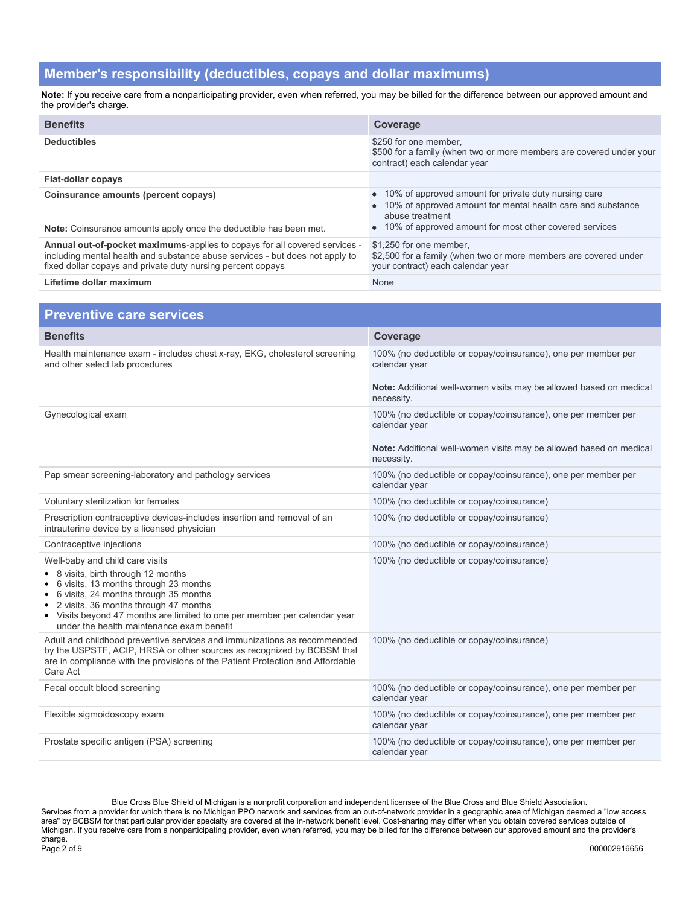#### **Member's responsibility (deductibles, copays and dollar maximums)**

**Note:** If you receive care from a nonparticipating provider, even when referred, you may be billed for the difference between our approved amount and the provider's charge.

| <b>Benefits</b>                                                                                                                                                                                                           | Coverage                                                                                                                                                                                               |
|---------------------------------------------------------------------------------------------------------------------------------------------------------------------------------------------------------------------------|--------------------------------------------------------------------------------------------------------------------------------------------------------------------------------------------------------|
| <b>Deductibles</b>                                                                                                                                                                                                        | \$250 for one member.<br>\$500 for a family (when two or more members are covered under your<br>contract) each calendar year                                                                           |
| <b>Flat-dollar copays</b>                                                                                                                                                                                                 |                                                                                                                                                                                                        |
| Coinsurance amounts (percent copays)<br><b>Note:</b> Coinsurance amounts apply once the deductible has been met.                                                                                                          | • 10% of approved amount for private duty nursing care<br>• 10% of approved amount for mental health care and substance<br>abuse treatment<br>• 10% of approved amount for most other covered services |
| Annual out-of-pocket maximums-applies to copays for all covered services -<br>including mental health and substance abuse services - but does not apply to<br>fixed dollar copays and private duty nursing percent copays | \$1.250 for one member.<br>\$2,500 for a family (when two or more members are covered under<br>your contract) each calendar year                                                                       |
| Lifetime dollar maximum                                                                                                                                                                                                   | None                                                                                                                                                                                                   |

| <b>Preventive care services</b>                                                                                                                                                                                                                                                                                                  |                                                                                                                                                                    |
|----------------------------------------------------------------------------------------------------------------------------------------------------------------------------------------------------------------------------------------------------------------------------------------------------------------------------------|--------------------------------------------------------------------------------------------------------------------------------------------------------------------|
| <b>Benefits</b>                                                                                                                                                                                                                                                                                                                  | Coverage                                                                                                                                                           |
| Health maintenance exam - includes chest x-ray, EKG, cholesterol screening<br>and other select lab procedures                                                                                                                                                                                                                    | 100% (no deductible or copay/coinsurance), one per member per<br>calendar year<br>Note: Additional well-women visits may be allowed based on medical               |
|                                                                                                                                                                                                                                                                                                                                  | necessity.                                                                                                                                                         |
| Gynecological exam                                                                                                                                                                                                                                                                                                               | 100% (no deductible or copay/coinsurance), one per member per<br>calendar year<br>Note: Additional well-women visits may be allowed based on medical<br>necessity. |
| Pap smear screening-laboratory and pathology services                                                                                                                                                                                                                                                                            | 100% (no deductible or copay/coinsurance), one per member per<br>calendar year                                                                                     |
| Voluntary sterilization for females                                                                                                                                                                                                                                                                                              | 100% (no deductible or copay/coinsurance)                                                                                                                          |
| Prescription contraceptive devices-includes insertion and removal of an<br>intrauterine device by a licensed physician                                                                                                                                                                                                           | 100% (no deductible or copay/coinsurance)                                                                                                                          |
| Contraceptive injections                                                                                                                                                                                                                                                                                                         | 100% (no deductible or copay/coinsurance)                                                                                                                          |
| Well-baby and child care visits<br>• 8 visits, birth through 12 months<br>6 visits, 13 months through 23 months<br>6 visits, 24 months through 35 months<br>2 visits, 36 months through 47 months<br>٠<br>• Visits beyond 47 months are limited to one per member per calendar year<br>under the health maintenance exam benefit | 100% (no deductible or copay/coinsurance)                                                                                                                          |
| Adult and childhood preventive services and immunizations as recommended<br>by the USPSTF, ACIP, HRSA or other sources as recognized by BCBSM that<br>are in compliance with the provisions of the Patient Protection and Affordable<br>Care Act                                                                                 | 100% (no deductible or copay/coinsurance)                                                                                                                          |
| Fecal occult blood screening                                                                                                                                                                                                                                                                                                     | 100% (no deductible or copay/coinsurance), one per member per<br>calendar year                                                                                     |
| Flexible sigmoidoscopy exam                                                                                                                                                                                                                                                                                                      | 100% (no deductible or copay/coinsurance), one per member per<br>calendar year                                                                                     |
| Prostate specific antigen (PSA) screening                                                                                                                                                                                                                                                                                        | 100% (no deductible or copay/coinsurance), one per member per<br>calendar year                                                                                     |

Blue Cross Blue Shield of Michigan is a nonprofit corporation and independent licensee of the Blue Cross and Blue Shield Association. Services from a provider for which there is no Michigan PPO network and services from an out-of-network provider in a geographic area of Michigan deemed a "low access area" by BCBSM for that particular provider specialty are covered at the in-network benefit level. Cost-sharing may differ when you obtain covered services outside of Michigan. If you receive care from a nonparticipating provider, even when referred, you may be billed for the difference between our approved amount and the provider's charge.<br>Page 2 of 9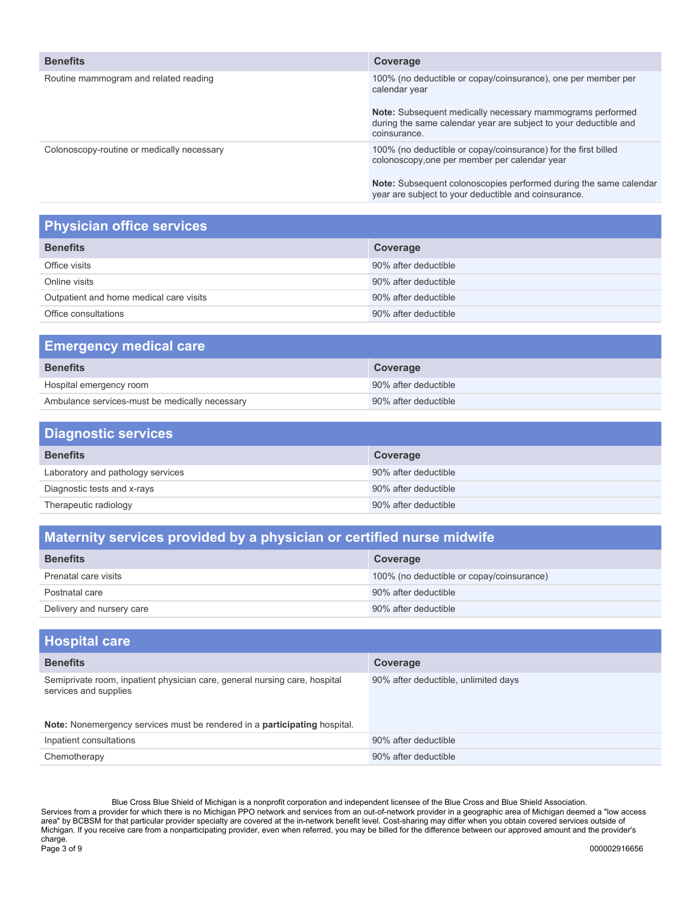| <b>Benefits</b>                            | Coverage                                                                                                                                      |
|--------------------------------------------|-----------------------------------------------------------------------------------------------------------------------------------------------|
| Routine mammogram and related reading      | 100% (no deductible or copay/coinsurance), one per member per<br>calendar year                                                                |
|                                            | Note: Subsequent medically necessary mammograms performed<br>during the same calendar year are subject to your deductible and<br>coinsurance. |
| Colonoscopy-routine or medically necessary | 100% (no deductible or copay/coinsurance) for the first billed<br>colonoscopy, one per member per calendar year                               |
|                                            | Note: Subsequent colonoscopies performed during the same calendar<br>year are subject to your deductible and coinsurance.                     |

## **Physician office services**

| <b>Benefits</b><br>Coverage<br>90% after deductible<br>Office visits<br>90% after deductible<br>Online visits<br>Outpatient and home medical care visits<br>90% after deductible |
|----------------------------------------------------------------------------------------------------------------------------------------------------------------------------------|
|                                                                                                                                                                                  |
|                                                                                                                                                                                  |
|                                                                                                                                                                                  |
|                                                                                                                                                                                  |
| 90% after deductible<br>Office consultations                                                                                                                                     |

| <b>Emergency medical care</b>                  |                      |  |
|------------------------------------------------|----------------------|--|
| <b>Benefits</b>                                | Coverage             |  |
| Hospital emergency room                        | 90% after deductible |  |
| Ambulance services-must be medically necessary | 90% after deductible |  |

| <b>Diagnostic services</b>        |                      |  |
|-----------------------------------|----------------------|--|
| <b>Benefits</b>                   | Coverage             |  |
| Laboratory and pathology services | 90% after deductible |  |
| Diagnostic tests and x-rays       | 90% after deductible |  |
| Therapeutic radiology             | 90% after deductible |  |

## **Maternity services provided by a physician or certified nurse midwife**

| <b>Benefits</b>           | Coverage                                  |
|---------------------------|-------------------------------------------|
| Prenatal care visits      | 100% (no deductible or copay/coinsurance) |
| Postnatal care            | 90% after deductible                      |
| Delivery and nursery care | 90% after deductible                      |

| <b>Hospital care</b>                                                                                |                                      |
|-----------------------------------------------------------------------------------------------------|--------------------------------------|
| <b>Benefits</b>                                                                                     | Coverage                             |
| Semiprivate room, inpatient physician care, general nursing care, hospital<br>services and supplies | 90% after deductible, unlimited days |
| Note: Nonemergency services must be rendered in a participating hospital.                           |                                      |
| Inpatient consultations                                                                             | 90% after deductible                 |
| Chemotherapy                                                                                        | 90% after deductible                 |

Blue Cross Blue Shield of Michigan is a nonprofit corporation and independent licensee of the Blue Cross and Blue Shield Association. Services from a provider for which there is no Michigan PPO network and services from an out-of-network provider in a geographic area of Michigan deemed a "low access area" by BCBSM for that particular provider specialty are covered at the in-network benefit level. Cost-sharing may differ when you obtain covered services outside of Michigan. If you receive care from a nonparticipating provider, even when referred, you may be billed for the difference between our approved amount and the provider's charge.<br>Page 3 of 9 Page 3 of 9 000002916656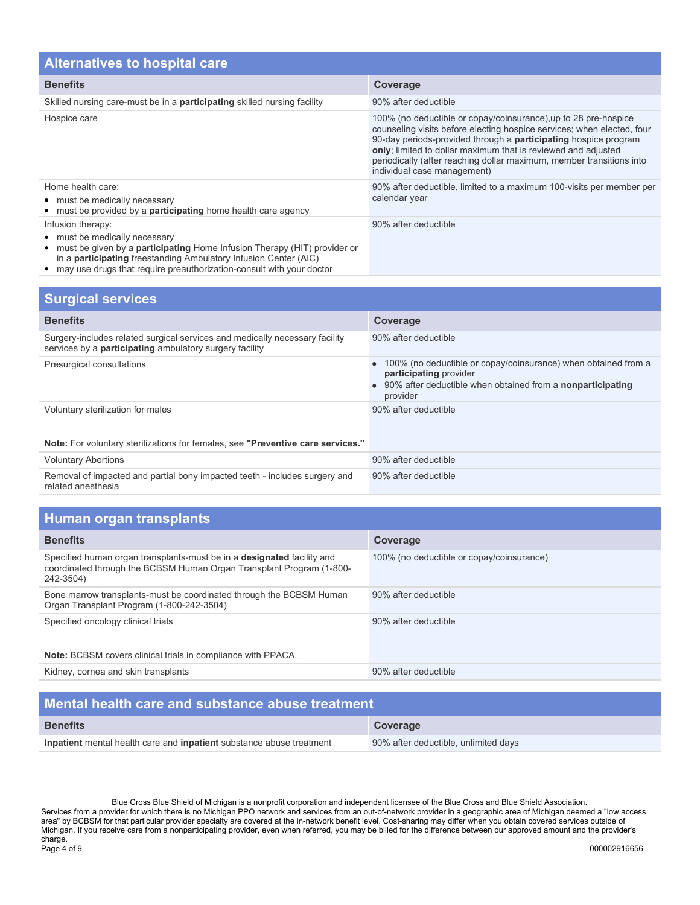| <b>Alternatives to hospital care</b>                                                                                                                                                                               |                                                                                                                                                                                                                                                                                                                                                                                             |  |
|--------------------------------------------------------------------------------------------------------------------------------------------------------------------------------------------------------------------|---------------------------------------------------------------------------------------------------------------------------------------------------------------------------------------------------------------------------------------------------------------------------------------------------------------------------------------------------------------------------------------------|--|
| <b>Benefits</b>                                                                                                                                                                                                    | Coverage                                                                                                                                                                                                                                                                                                                                                                                    |  |
| Skilled nursing care-must be in a <b>participating</b> skilled nursing facility                                                                                                                                    | 90% after deductible                                                                                                                                                                                                                                                                                                                                                                        |  |
| Hospice care                                                                                                                                                                                                       | 100% (no deductible or copay/coinsurance), up to 28 pre-hospice<br>counseling visits before electing hospice services; when elected, four<br>90-day periods-provided through a <b>participating</b> hospice program<br>only; limited to dollar maximum that is reviewed and adjusted<br>periodically (after reaching dollar maximum, member transitions into<br>individual case management) |  |
| Home health care:<br>• must be medically necessary<br>• must be provided by a <b>participating</b> home health care agency                                                                                         | 90% after deductible, limited to a maximum 100-visits per member per<br>calendar year                                                                                                                                                                                                                                                                                                       |  |
| Infusion therapy:<br>• must be medically necessary<br>• must be given by a <b>participating</b> Home Infusion Therapy (HIT) provider or<br>in a <b>participating</b> freestanding Ambulatory Infusion Center (AIC) | 90% after deductible                                                                                                                                                                                                                                                                                                                                                                        |  |

may use drugs that require preauthorization-consult with your doctor

| <b>Surgical services</b>                                                                                                                      |                                                                                                                                                                           |  |
|-----------------------------------------------------------------------------------------------------------------------------------------------|---------------------------------------------------------------------------------------------------------------------------------------------------------------------------|--|
| <b>Benefits</b>                                                                                                                               | Coverage                                                                                                                                                                  |  |
| Surgery-includes related surgical services and medically necessary facility<br>services by a <b>participating</b> ambulatory surgery facility | 90% after deductible                                                                                                                                                      |  |
| Presurgical consultations                                                                                                                     | 100% (no deductible or copay/coinsurance) when obtained from a<br>participating provider<br>90% after deductible when obtained from a <b>nonparticipating</b><br>provider |  |
| Voluntary sterilization for males                                                                                                             | 90% after deductible                                                                                                                                                      |  |
| Note: For voluntary sterilizations for females, see "Preventive care services."                                                               |                                                                                                                                                                           |  |
| <b>Voluntary Abortions</b>                                                                                                                    | 90% after deductible                                                                                                                                                      |  |
| Removal of impacted and partial bony impacted teeth - includes surgery and<br>related anesthesia                                              | 90% after deductible                                                                                                                                                      |  |

| Human organ transplants |  |  |
|-------------------------|--|--|
|                         |  |  |

| <b>Benefits</b>                                                                                                                                             | Coverage                                  |
|-------------------------------------------------------------------------------------------------------------------------------------------------------------|-------------------------------------------|
| Specified human organ transplants-must be in a designated facility and<br>coordinated through the BCBSM Human Organ Transplant Program (1-800-<br>242-3504) | 100% (no deductible or copay/coinsurance) |
| Bone marrow transplants-must be coordinated through the BCBSM Human<br>Organ Transplant Program (1-800-242-3504)                                            | 90% after deductible                      |
| Specified oncology clinical trials                                                                                                                          | 90% after deductible                      |
| <b>Note:</b> BCBSM covers clinical trials in compliance with PPACA.                                                                                         |                                           |
| Kidney, cornea and skin transplants                                                                                                                         | 90% after deductible                      |

| Mental health care and substance abuse treatment                     |                                      |  |
|----------------------------------------------------------------------|--------------------------------------|--|
| <b>Benefits</b>                                                      | Coverage                             |  |
| Inpatient mental health care and inpatient substance abuse treatment | 90% after deductible, unlimited days |  |

Blue Cross Blue Shield of Michigan is a nonprofit corporation and independent licensee of the Blue Cross and Blue Shield Association. Services from a provider for which there is no Michigan PPO network and services from an out-of-network provider in a geographic area of Michigan deemed a "low access area" by BCBSM for that particular provider specialty are covered at the in-network benefit level. Cost-sharing may differ when you obtain covered services outside of Michigan. If you receive care from a nonparticipating provider, even when referred, you may be billed for the difference between our approved amount and the provider's charge.<br>Page 4 of 9 Page 4 of 9 000002916656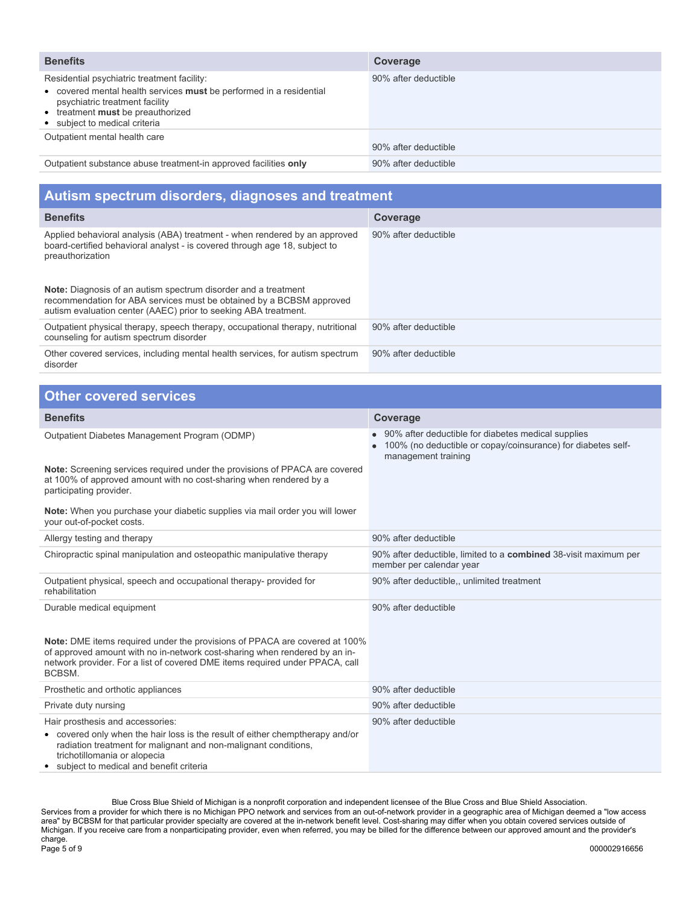| <b>Benefits</b>                                                                                                                                                                                                            | Coverage             |
|----------------------------------------------------------------------------------------------------------------------------------------------------------------------------------------------------------------------------|----------------------|
| Residential psychiatric treatment facility:<br>• covered mental health services must be performed in a residential<br>psychiatric treatment facility<br>• treatment must be preauthorized<br>• subject to medical criteria | 90% after deductible |
| Outpatient mental health care                                                                                                                                                                                              | 90% after deductible |
| Outpatient substance abuse treatment-in approved facilities only                                                                                                                                                           | 90% after deductible |

| Autism spectrum disorders, diagnoses and treatment                                                                                                                                                               |                      |  |
|------------------------------------------------------------------------------------------------------------------------------------------------------------------------------------------------------------------|----------------------|--|
| <b>Benefits</b>                                                                                                                                                                                                  | Coverage             |  |
| Applied behavioral analysis (ABA) treatment - when rendered by an approved<br>board-certified behavioral analyst - is covered through age 18, subject to<br>preauthorization                                     | 90% after deductible |  |
| <b>Note:</b> Diagnosis of an autism spectrum disorder and a treatment<br>recommendation for ABA services must be obtained by a BCBSM approved<br>autism evaluation center (AAEC) prior to seeking ABA treatment. |                      |  |
| Outpatient physical therapy, speech therapy, occupational therapy, nutritional<br>counseling for autism spectrum disorder                                                                                        | 90% after deductible |  |
| Other covered services, including mental health services, for autism spectrum<br>disorder                                                                                                                        | 90% after deductible |  |

| <b>Other covered services</b>                                                                                                                                                                                                                                   |                                                                                                                                             |
|-----------------------------------------------------------------------------------------------------------------------------------------------------------------------------------------------------------------------------------------------------------------|---------------------------------------------------------------------------------------------------------------------------------------------|
| <b>Benefits</b>                                                                                                                                                                                                                                                 | Coverage                                                                                                                                    |
| Outpatient Diabetes Management Program (ODMP)<br>Note: Screening services required under the provisions of PPACA are covered                                                                                                                                    | • 90% after deductible for diabetes medical supplies<br>100% (no deductible or copay/coinsurance) for diabetes self-<br>management training |
| at 100% of approved amount with no cost-sharing when rendered by a<br>participating provider.                                                                                                                                                                   |                                                                                                                                             |
| Note: When you purchase your diabetic supplies via mail order you will lower<br>your out-of-pocket costs.                                                                                                                                                       |                                                                                                                                             |
| Allergy testing and therapy                                                                                                                                                                                                                                     | 90% after deductible                                                                                                                        |
| Chiropractic spinal manipulation and osteopathic manipulative therapy                                                                                                                                                                                           | 90% after deductible, limited to a <b>combined</b> 38-visit maximum per<br>member per calendar year                                         |
| Outpatient physical, speech and occupational therapy- provided for<br>rehabilitation                                                                                                                                                                            | 90% after deductible,, unlimited treatment                                                                                                  |
| Durable medical equipment                                                                                                                                                                                                                                       | 90% after deductible                                                                                                                        |
| Note: DME items required under the provisions of PPACA are covered at 100%<br>of approved amount with no in-network cost-sharing when rendered by an in-<br>network provider. For a list of covered DME items required under PPACA, call<br>BCBSM.              |                                                                                                                                             |
| Prosthetic and orthotic appliances                                                                                                                                                                                                                              | 90% after deductible                                                                                                                        |
| Private duty nursing                                                                                                                                                                                                                                            | 90% after deductible                                                                                                                        |
| Hair prosthesis and accessories:<br>• covered only when the hair loss is the result of either chemptherapy and/or<br>radiation treatment for malignant and non-malignant conditions,<br>trichotillomania or alopecia<br>subject to medical and benefit criteria | 90% after deductible                                                                                                                        |

Blue Cross Blue Shield of Michigan is a nonprofit corporation and independent licensee of the Blue Cross and Blue Shield Association. Services from a provider for which there is no Michigan PPO network and services from an out-of-network provider in a geographic area of Michigan deemed a "low access area" by BCBSM for that particular provider specialty are covered at the in-network benefit level. Cost-sharing may differ when you obtain covered services outside of Michigan. If you receive care from a nonparticipating provider, even when referred, you may be billed for the difference between our approved amount and the provider's charge. Page 5 of 9 000002916656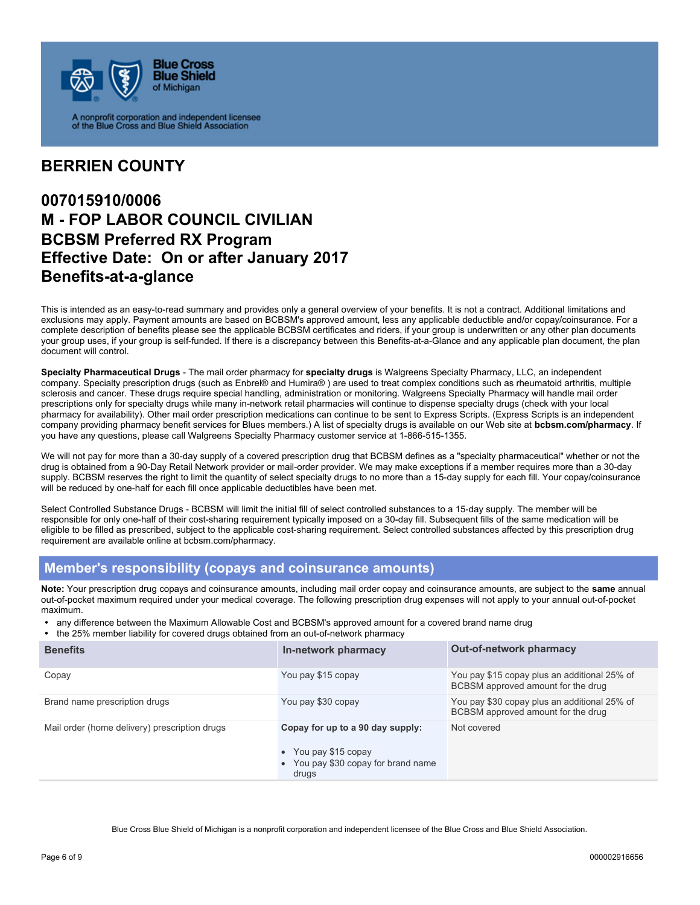

A nonprofit corporation and independent licensee<br>of the Blue Cross and Blue Shield Association

## **BERRIEN COUNTY**

## **007015910/0006 M - FOP LABOR COUNCIL CIVILIAN BCBSM Preferred RX Program Effective Date: On or after January 2017 Benefits-at-a-glance**

This is intended as an easy-to-read summary and provides only a general overview of your benefits. It is not a contract. Additional limitations and exclusions may apply. Payment amounts are based on BCBSM's approved amount, less any applicable deductible and/or copay/coinsurance. For a complete description of benefits please see the applicable BCBSM certificates and riders, if your group is underwritten or any other plan documents your group uses, if your group is self-funded. If there is a discrepancy between this Benefits-at-a-Glance and any applicable plan document, the plan document will control.

**Specialty Pharmaceutical Drugs** - The mail order pharmacy for **specialty drugs** is Walgreens Specialty Pharmacy, LLC, an independent company. Specialty prescription drugs (such as Enbrel® and Humira® ) are used to treat complex conditions such as rheumatoid arthritis, multiple sclerosis and cancer. These drugs require special handling, administration or monitoring. Walgreens Specialty Pharmacy will handle mail order prescriptions only for specialty drugs while many in-network retail pharmacies will continue to dispense specialty drugs (check with your local pharmacy for availability). Other mail order prescription medications can continue to be sent to Express Scripts. (Express Scripts is an independent company providing pharmacy benefit services for Blues members.) A list of specialty drugs is available on our Web site at **bcbsm.com/pharmacy**. If you have any questions, please call Walgreens Specialty Pharmacy customer service at 1-866-515-1355.

We will not pay for more than a 30-day supply of a covered prescription drug that BCBSM defines as a "specialty pharmaceutical" whether or not the drug is obtained from a 90-Day Retail Network provider or mail-order provider. We may make exceptions if a member requires more than a 30-day supply. BCBSM reserves the right to limit the quantity of select specialty drugs to no more than a 15-day supply for each fill. Your copay/coinsurance will be reduced by one-half for each fill once applicable deductibles have been met.

Select Controlled Substance Drugs - BCBSM will limit the initial fill of select controlled substances to a 15-day supply. The member will be responsible for only one-half of their cost-sharing requirement typically imposed on a 30-day fill. Subsequent fills of the same medication will be eligible to be filled as prescribed, subject to the applicable cost-sharing requirement. Select controlled substances affected by this prescription drug requirement are available online at bcbsm.com/pharmacy.

#### **Member's responsibility (copays and coinsurance amounts)**

**Note:** Your prescription drug copays and coinsurance amounts, including mail order copay and coinsurance amounts, are subject to the **same** annual out-of-pocket maximum required under your medical coverage. The following prescription drug expenses will not apply to your annual out-of-pocket maximum.

- any difference between the Maximum Allowable Cost and BCBSM's approved amount for a covered brand name drug<br>• the 25% member liability for covered drugs obtained from an out-of-network pharmacy
- the 25% member liability for covered drugs obtained from an out-of-network pharmacy

| <b>Benefits</b>                               | In-network pharmacy                                                                                  | <b>Out-of-network pharmacy</b>                                                     |
|-----------------------------------------------|------------------------------------------------------------------------------------------------------|------------------------------------------------------------------------------------|
| Copay                                         | You pay \$15 copay                                                                                   | You pay \$15 copay plus an additional 25% of<br>BCBSM approved amount for the drug |
| Brand name prescription drugs                 | You pay \$30 copay                                                                                   | You pay \$30 copay plus an additional 25% of<br>BCBSM approved amount for the drug |
| Mail order (home delivery) prescription drugs | Copay for up to a 90 day supply:<br>You pay \$15 copay<br>You pay \$30 copay for brand name<br>drugs | Not covered                                                                        |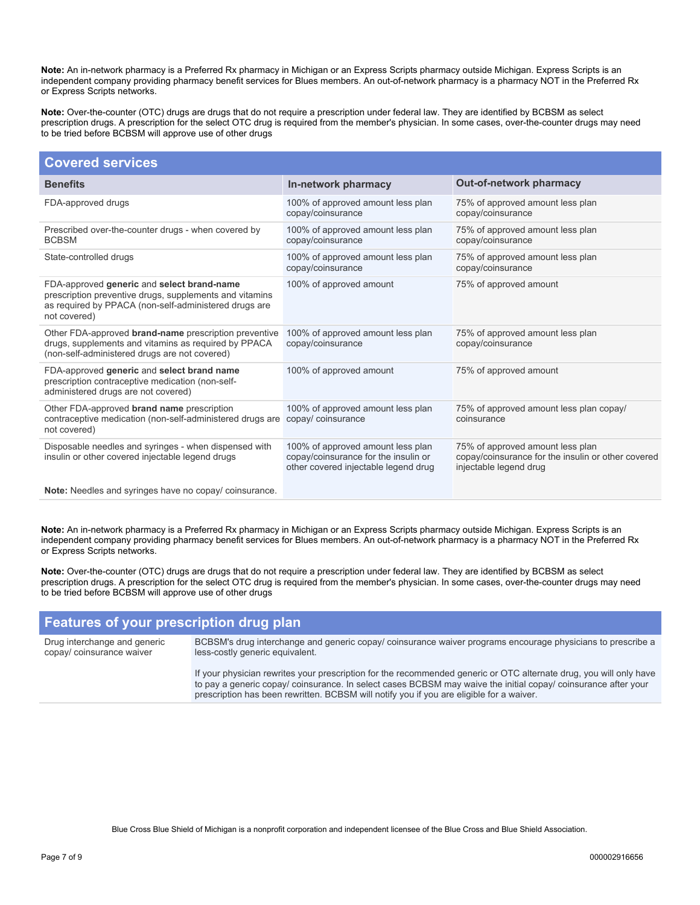**Note:** An in-network pharmacy is a Preferred Rx pharmacy in Michigan or an Express Scripts pharmacy outside Michigan. Express Scripts is an independent company providing pharmacy benefit services for Blues members. An out-of-network pharmacy is a pharmacy NOT in the Preferred Rx or Express Scripts networks.

**Note:** Over-the-counter (OTC) drugs are drugs that do not require a prescription under federal law. They are identified by BCBSM as select prescription drugs. A prescription for the select OTC drug is required from the member's physician. In some cases, over-the-counter drugs may need to be tried before BCBSM will approve use of other drugs

| <b>Covered services</b>                                                                                                                                                        |                                                                                                                   |                                                                                                                  |
|--------------------------------------------------------------------------------------------------------------------------------------------------------------------------------|-------------------------------------------------------------------------------------------------------------------|------------------------------------------------------------------------------------------------------------------|
| <b>Benefits</b>                                                                                                                                                                | In-network pharmacy                                                                                               | <b>Out-of-network pharmacy</b>                                                                                   |
| FDA-approved drugs                                                                                                                                                             | 100% of approved amount less plan<br>copay/coinsurance                                                            | 75% of approved amount less plan<br>copay/coinsurance                                                            |
| Prescribed over-the-counter drugs - when covered by<br><b>BCBSM</b>                                                                                                            | 100% of approved amount less plan<br>copay/coinsurance                                                            | 75% of approved amount less plan<br>copay/coinsurance                                                            |
| State-controlled drugs                                                                                                                                                         | 100% of approved amount less plan<br>copay/coinsurance                                                            | 75% of approved amount less plan<br>copay/coinsurance                                                            |
| FDA-approved generic and select brand-name<br>prescription preventive drugs, supplements and vitamins<br>as required by PPACA (non-self-administered drugs are<br>not covered) | 100% of approved amount                                                                                           | 75% of approved amount                                                                                           |
| Other FDA-approved <b>brand-name</b> prescription preventive<br>drugs, supplements and vitamins as required by PPACA<br>(non-self-administered drugs are not covered)          | 100% of approved amount less plan<br>copay/coinsurance                                                            | 75% of approved amount less plan<br>copay/coinsurance                                                            |
| FDA-approved generic and select brand name<br>prescription contraceptive medication (non-self-<br>administered drugs are not covered)                                          | 100% of approved amount                                                                                           | 75% of approved amount                                                                                           |
| Other FDA-approved brand name prescription<br>contraceptive medication (non-self-administered drugs are<br>not covered)                                                        | 100% of approved amount less plan<br>copay/ coinsurance                                                           | 75% of approved amount less plan copay/<br>coinsurance                                                           |
| Disposable needles and syringes - when dispensed with<br>insulin or other covered injectable legend drugs                                                                      | 100% of approved amount less plan<br>copay/coinsurance for the insulin or<br>other covered injectable legend drug | 75% of approved amount less plan<br>copay/coinsurance for the insulin or other covered<br>injectable legend drug |
| Note: Needles and syringes have no copay/coinsurance.                                                                                                                          |                                                                                                                   |                                                                                                                  |

**Note:** An in-network pharmacy is a Preferred Rx pharmacy in Michigan or an Express Scripts pharmacy outside Michigan. Express Scripts is an independent company providing pharmacy benefit services for Blues members. An out-of-network pharmacy is a pharmacy NOT in the Preferred Rx or Express Scripts networks.

**Note:** Over-the-counter (OTC) drugs are drugs that do not require a prescription under federal law. They are identified by BCBSM as select prescription drugs. A prescription for the select OTC drug is required from the member's physician. In some cases, over-the-counter drugs may need to be tried before BCBSM will approve use of other drugs

# **Features of your prescription drug plan**

Drug interchange and generic copay/ coinsurance waiver

BCBSM's drug interchange and generic copay/ coinsurance waiver programs encourage physicians to prescribe a less-costly generic equivalent.

If your physician rewrites your prescription for the recommended generic or OTC alternate drug, you will only have to pay a generic copay/ coinsurance. In select cases BCBSM may waive the initial copay/ coinsurance after your prescription has been rewritten. BCBSM will notify you if you are eligible for a waiver.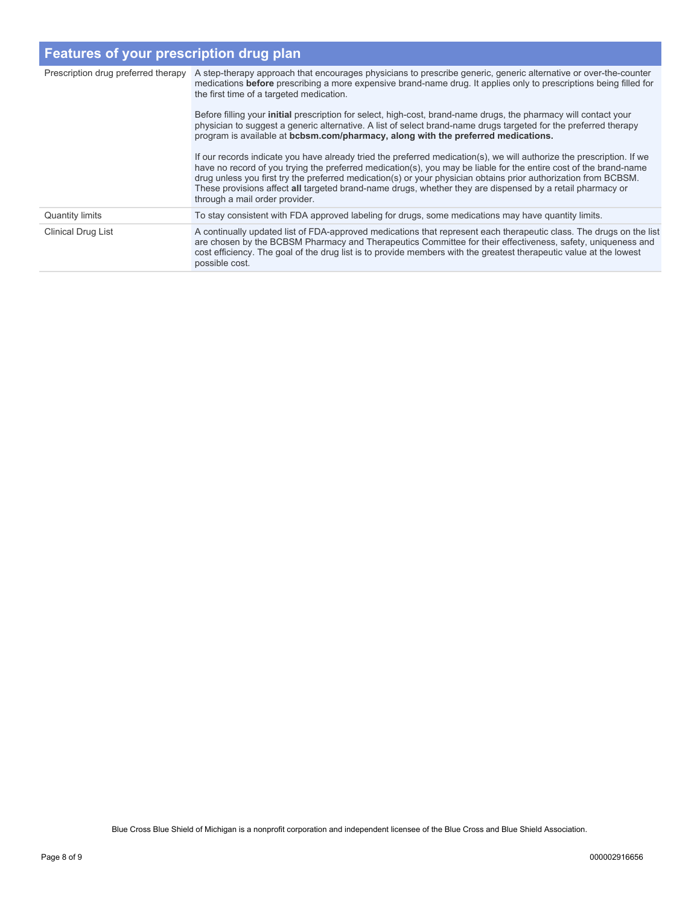## **Features of your prescription drug plan**

| Prescription drug preferred therapy | A step-therapy approach that encourages physicians to prescribe generic, generic alternative or over-the-counter<br>medications before prescribing a more expensive brand-name drug. It applies only to prescriptions being filled for<br>the first time of a targeted medication.<br>Before filling your <b>initial</b> prescription for select, high-cost, brand-name drugs, the pharmacy will contact your<br>physician to suggest a generic alternative. A list of select brand-name drugs targeted for the preferred therapy<br>program is available at bcbsm.com/pharmacy, along with the preferred medications.<br>If our records indicate you have already tried the preferred medication(s), we will authorize the prescription. If we<br>have no record of you trying the preferred medication(s), you may be liable for the entire cost of the brand-name |
|-------------------------------------|----------------------------------------------------------------------------------------------------------------------------------------------------------------------------------------------------------------------------------------------------------------------------------------------------------------------------------------------------------------------------------------------------------------------------------------------------------------------------------------------------------------------------------------------------------------------------------------------------------------------------------------------------------------------------------------------------------------------------------------------------------------------------------------------------------------------------------------------------------------------|
|                                     | drug unless you first try the preferred medication(s) or your physician obtains prior authorization from BCBSM.<br>These provisions affect all targeted brand-name drugs, whether they are dispensed by a retail pharmacy or<br>through a mail order provider.                                                                                                                                                                                                                                                                                                                                                                                                                                                                                                                                                                                                       |
| <b>Quantity limits</b>              | To stay consistent with FDA approved labeling for drugs, some medications may have quantity limits.                                                                                                                                                                                                                                                                                                                                                                                                                                                                                                                                                                                                                                                                                                                                                                  |
| <b>Clinical Drug List</b>           | A continually updated list of FDA-approved medications that represent each therapeutic class. The drugs on the list<br>are chosen by the BCBSM Pharmacy and Therapeutics Committee for their effectiveness, safety, uniqueness and<br>cost efficiency. The goal of the drug list is to provide members with the greatest therapeutic value at the lowest<br>possible cost.                                                                                                                                                                                                                                                                                                                                                                                                                                                                                           |

Blue Cross Blue Shield of Michigan is a nonprofit corporation and independent licensee of the Blue Cross and Blue Shield Association.